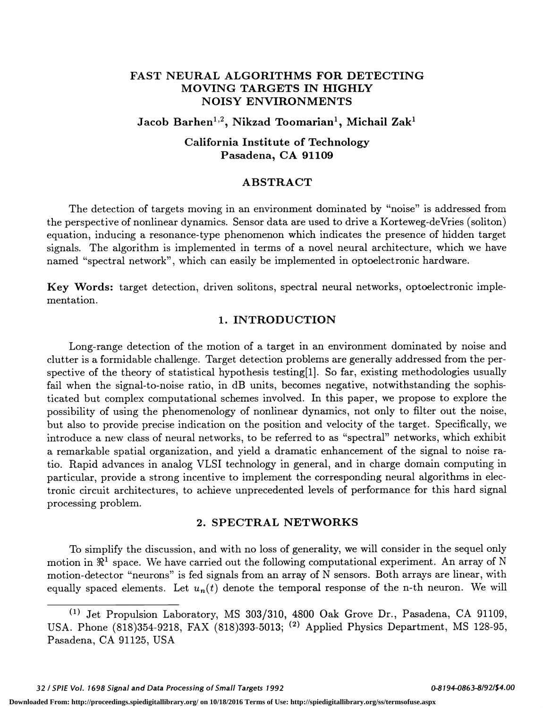# FAST NEURAL ALGORITHMS FOR DETECTING MOVING TARGETS IN HIGHLY NOISY ENVIRONMENTS

Jacob Barhen<sup>1,2</sup>, Nikzad Toomarian<sup>1</sup>, Michail Zak<sup>1</sup>

# California Institute of Technology Pasadena, CA 91109

## ABSTRACT

The detection of targets moving in an environment dominated by "noise" is addressed from the perspective of nonlinear dynamics. Sensor data are used to drive a Korteweg-deVries (soliton) equation, inducing a resonance-type phenomenon which indicates the presence of hidden target signals. The algorithm is implemented in terms of a novel neural architecture, which we have named "spectral network", which can easily be implemented in optoelectronic hardware.

Key Words: target detection, driven solitons, spectral neural networks, optoelectronic implementation.

### 1. INTRODUCTION

Long-range detection of the motion of a target in an environment dominated by noise and clutter is a formidable challenge. Target detection problems are generally addressed from the perspective of the theory of statistical hypothesis testing[1]. So far, existing methodologies usually fail when the signal-to-noise ratio, in dB units, becomes negative, notwithstanding the sophisticated but complex computational schemes involved. In this paper, we propose to explore the possibility of using the phenomenology of nonlinear dynamics, not only to filter out the noise, but also to provide precise indication on the position and velocity of the target. Specifically, we introduce a new class of neural networks, to be referred to as "spectral" networks, which exhibit a remarkable spatial organization, and yield a dramatic enhancement of the signal to noise ratio. Rapid advances in analog VLSI technology in general, and in charge domain computing in particular, provide a strong incentive to implement the corresponding neural algorithms in electronic circuit architectures, to achieve unprecedented levels of performance for this hard signal processing problem.

### 2. SPECTRAL NETWORKS

To simplify the discussion, and with no loss of generality, we will consider in the sequel only motion in  $\mathbb{R}^1$  space. We have carried out the following computational experiment. An array of N motion-detector "neurons" is fed signals from an array of N sensors. Both arrays are linear, with equally spaced elements. Let  $u_n(t)$  denote the temporal response of the n-th neuron. We will

32 / SPIE Vol. 1698 Signal and Data Processing of Small Targets 1992 **0-81 0-81 0-81 94-0863-8/92/\$4.00** 

<sup>(&#</sup>x27;) Jet Propulsion Laboratory, MS 303/310, 4800 Oak Grove Dr., Pasadena, CA 91109, USA. Phone (818)354-9218, FAX (818)393-5013; <sup>(2)</sup> Applied Physics Department, MS 128-95, Pasadena, CA 91125, USA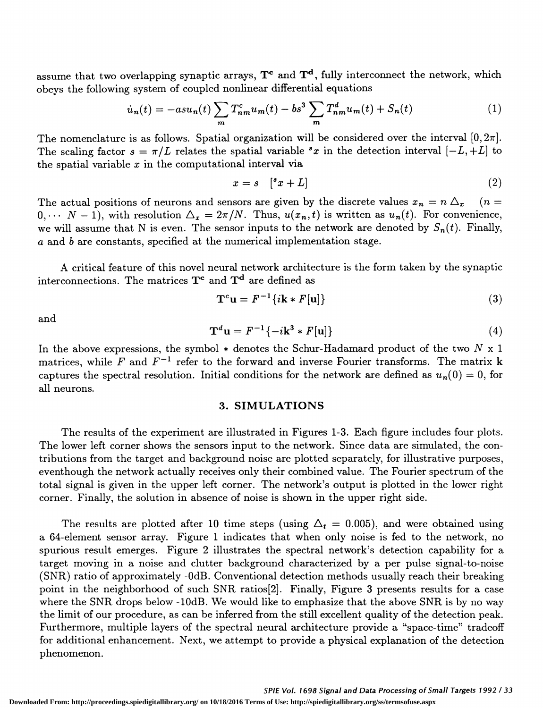assume that two overlapping synaptic arrays,  $T^c$  and  $T^d$ , fully interconnect the network, which

obeys the following system of coupled nonlinear differential equations  
\n
$$
\dot{u}_n(t) = -a s u_n(t) \sum_m T_{nm}^c u_m(t) - b s^3 \sum_m T_{nm}^d u_m(t) + S_n(t)
$$
\n(1)

The nomenclature is as follows. Spatial organization will be considered over the interval  $[0, 2\pi]$ . The scaling factor  $s = \pi/L$  relates the spatial variable  ${}^s x$  in the detection interval  $[-L, +L]$  to the spatial variable  $x$  in the computational interval via

$$
x = s \quad [^s x + L] \tag{2}
$$

The actual positions of neurons and sensors are given by the discrete values  $x_n = n \Delta_x$  (n =  $0, \cdots N-1$ , with resolution  $\Delta_x = 2\pi/N$ . Thus,  $u(x_n, t)$  is written as  $u_n(t)$ . For convenience, we will assume that N is even. The sensor inputs to the network are denoted by  $S_n(t)$ . Finally, a and b are constants, specified at the numerical implementation stage.

A critical feature of this novel neural network architecture is the form taken by the synaptic interconnections. The matrices  $T^c$  and  $T^d$  are defined as

$$
\mathbf{T}^c \mathbf{u} = F^{-1} \{ i \mathbf{k} * F[\mathbf{u}] \}
$$
 (3)

and

$$
\mathbf{T}^d \mathbf{u} = F^{-1} \{-i\mathbf{k}^3 * F[\mathbf{u}]\}\tag{4}
$$

In the above expressions, the symbol  $*$  denotes the Schur-Hadamard product of the two N x 1 matrices, while F and  $F^{-1}$  refer to the forward and inverse Fourier transforms. The matrix k captures the spectral resolution. Initial conditions for the network are defined as  $u_n(0) = 0$ , for all neurons.

### 3. SIMULATIONS

The results of the experiment are illustrated in Figures 1-3. Each figure includes four plots. The lower left corner shows the sensors input to the network. Since data are simulated, the contributions from the target and background noise are plotted separately, for illustrative purposes, eventhough the network actually receives only their combined value. The Fourier spectrum of the total signal is given in the upper left corner. The network's output is plotted in the lower right corner. Finally, the solution in absence of noise is shown in the upper right side.

The results are plotted after 10 time steps (using  $\Delta_t = 0.005$ ), and were obtained using a 64-element sensor array. Figure 1 indicates that when only noise is fed to the network, no spurious result emerges. Figure 2 illustrates the spectral network's detection capability for a target moving in a noise and clutter background characterized by a per pulse signal-to-noise (SNR) ratio of approximately -0dB. Conventional detection methods usually reach their breaking point in the neighborhood of such SNR ratios<sup>[2]</sup>. Finally, Figure 3 presents results for a case where the SNR drops below -10dB. We would like to emphasize that the above SNR is by no way the limit of our procedure, as can be inferred from the still excellent quality of the detection peak. Furthermore, multiple layers of the spectral neural architecture provide a "space-time" tradeoff for additional enhancement. Next, we attempt to provide a physical explanation of the detection phenomenon.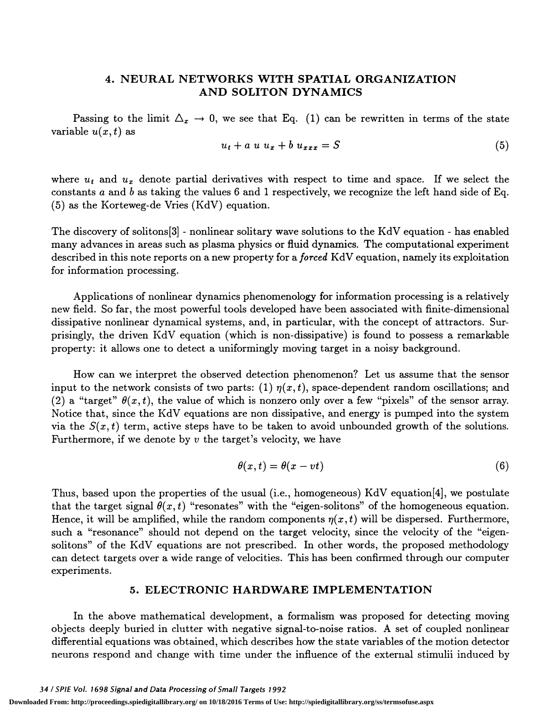# 4. NEURAL NETWORKS WITH SPATIAL ORGANIZATION AND SOLITON DYNAMICS

Passing to the limit  $\Delta_x \to 0$ , we see that Eq. (1) can be rewritten in terms of the state variable  $u(x,t)$  as

$$
u_t + a u u_x + b u_{xxx} = S \tag{5}
$$

where  $u_t$  and  $u_x$  denote partial derivatives with respect to time and space. If we select the constants a and b as taking the values 6 and 1 respectively, we recognize the left hand side of Eq. (5) as the Korteweg-de Vries (KdV) equation.

The discovery of solitons[3] - nonlinear solitary wave solutions to the KdV equation - has enabled many advances in areas such as plasma physics or fluid dynamics. The computational experiment described in this note reports on a new property for a *forced* KdV equation, namely its exploitation for information processing.

Applications of nonlinear dynamics phenomenology for information processing is a relatively new field. So far, the most powerful tools developed have been associated with finite-dimensional dissipative nonlinear dynamical systems, and, in particular, with the concept of attractors. Surprisingly, the driven KdV equation (which is non-dissipative) is found to possess a remarkable property: it allows one to detect a uniformingly moving target in a noisy background.

How can we interpret the observed detection phenomenon? Let us assume that the sensor input to the network consists of two parts: (1)  $\eta(x,t)$ , space-dependent random oscillations; and (2) a "target"  $\theta(x, t)$ , the value of which is nonzero only over a few "pixels" of the sensor array. Notice that, since the KdV equations are non dissipative, and energy is pumped into the system via the  $S(x, t)$  term, active steps have to be taken to avoid unbounded growth of the solutions. Furthermore, if we denote by  $v$  the target's velocity, we have

$$
\theta(x,t) = \theta(x - vt) \tag{6}
$$

Thus, based upon the properties of the usual (i.e. , homogeneous) KdV equation{4] , we postulate that the target signal  $\theta(x, t)$  "resonates" with the "eigen-solitons" of the homogeneous equation. Hence, it will be amplified, while the random components  $\eta(x, t)$  will be dispersed. Furthermore, such a "resonance" should not depend on the target velocity, since the velocity of the "eigensolitons" of the KdV equations are not prescribed. In other words, the proposed methodology can detect targets over a wide range of velocities. This has been confirmed through our computer experiments.

# 5. ELECTRONIC HARDWARE IMPLEMENTATION

In the above mathematical development, a formalism was proposed for detecting moving objects deeply buried in clutter with negative signal-to-noise ratios. A set of coupled nonlinear differential equations was obtained, which describes how the state variables of the motion detector neurons respond and change with time under the influence of the external stimulii induced by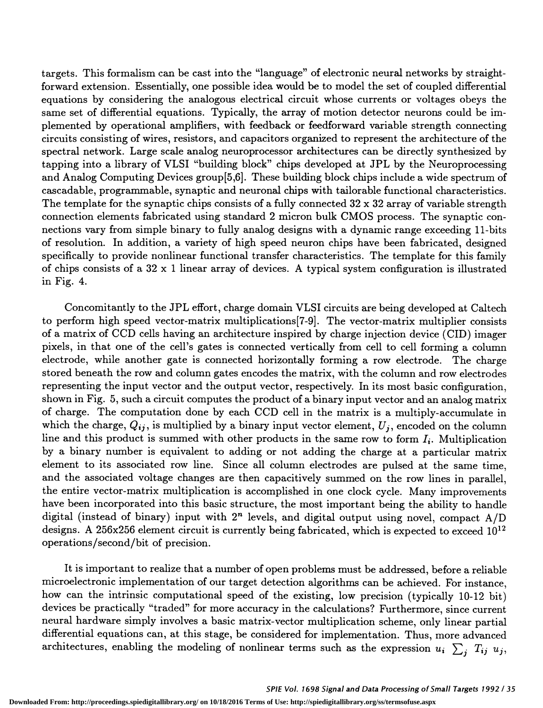targets. This formalism can be cast into the "language" of electronic neural networks by straight forward extension. Essentially, one possible idea would be to model the set of coupled differential equations by considering the analogous electrical circuit whose currents or voltages obeys the same set of differential equations. Typically, the array of motion detector neurons could be implemented by operational amplifiers, with feedback or feedforward variable strength connecting circuits consisting of wires, resistors, and capacitors organized to represent the architecture of the spectral network. Large scale analog neuroprocessor architectures can be directly synthesized by tapping into a library of VLSI "building block" chips developed at JPL by the Neuroprocessing and Analog Computing Devices group{5,6}. These building block chips include a wide spectrum of cascadable, programmable, synaptic and neuronal chips with tailorable functional characteristics. The template for the synaptic chips consists of a fully connected  $32 \times 32$  array of variable strength connection elements fabricated using standard 2 micron bulk CMOS process. The synaptic connections vary from simple binary to fully analog designs with a dynamic range exceeding 11-bits of resolution. In addition, a variety of high speed neuron chips have been fabricated, designed specifically to provide nonlinear functional transfer characteristics. The template for this family of chips consists of a 32 x 1 linear array of devices. A typical system configuration is illustrated in Fig. 4.

Concomitantly to the JPL effort, charge domain VLSI circuits are being developed at Caltech to perform high speed vector-matrix multiplications[7-9]. The vector-matrix multiplier consists of a matrix of CCD cells having an architecture inspired by charge injection device (CID) imager pixels, in that one of the cell's gates is connected vertically from cell to cell forming a column electrode, while another gate is connected horizontally forming a row electrode. The charge stored beneath the row and column gates encodes the matrix, with the column and row electrodes representing the input vector and the output vector, respectively. In its most basic configuration, shown in Fig. 5, such a circuit computes the product of a binary input vector and an analog matrix of charge. The computation done by each CCD cell in the matrix is a multiply-accumulate in which the charge,  $Q_{ij}$ , is multiplied by a binary input vector element,  $U_j$ , encoded on the column line and this product is summed with other products in the same row to form  $I_i$ . Multiplication by a binary number is equivalent to adding or not adding the charge at a particular matrix element to its associated row line. Since all column electrodes are pulsed at the same time, and the associated voltage changes are then capacitively summed on the row lines in parallel, the entire vector-matrix multiplication is accomplished in one clock cycle. Many improvements have been incorporated into this basic structure, the most important being the ability to handle digital (instead of binary) input with  $2<sup>n</sup>$  levels, and digital output using novel, compact  $A/D$ designs. A 256x256 element circuit is currently being fabricated, which is expected to exceed 1012 operations/second/bit of precision.

It is important to realize that a number of open problems must be addressed, before a reliable microelectronic implementation of our target detection algorithms can be achieved. For instance, how can the intrinsic computational speed of the existing, low precision (typically 10-12 bit) devices be practically "traded" for more accuracy in the calculations? Furthermore, since current neural hardware simply involves a basic matrix-vector multiplication scheme, only linear partial differential equations can, at this stage, be considered for implementation. Thus, more advanced architectures, enabling the modeling of nonlinear terms such as the expression  $u_i \sum_j T_{ij} u_j$ ,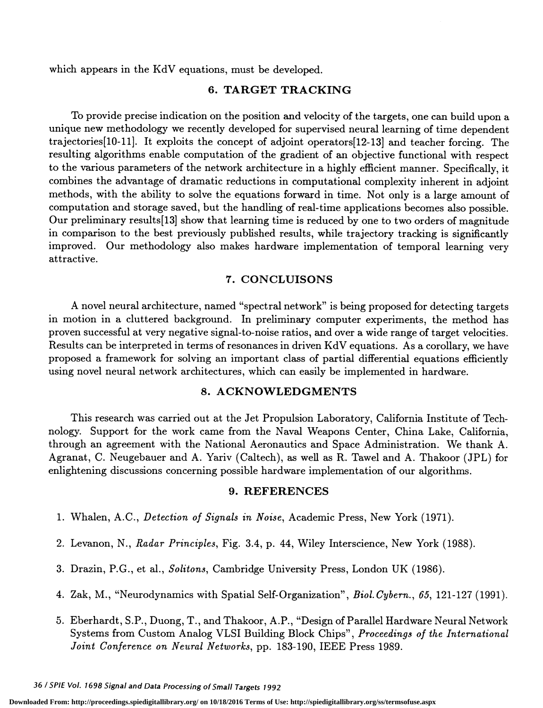which appears in the KdV equations, must be developed.

## 6. TARGET TRACKING

To provide precise indication on the position and velocity of the targets, one can build upon a unique new methodology we recently developed for supervised neural learning of time dependent trajectories[10-11]. It exploits the concept of adjoint operators[12-13] and teacher forcing. The resulting algorithms enable computation of the gradient of an objective functional with respect to the various parameters of the network architecture in a highly efficient manner. Specifically, it combines the advantage of dramatic reductions in computational complexity inherent in adjoint methods, with the ability to solve the equations forward in time. Not only is a large amount of computation and storage saved, but the handling of real-time applications becomes also possible. Our preliminary results[13] show that learning time is reduced by one to two orders of magnitude in comparison to the best previously published results, while trajectory tracking is significantly improved. Our methodology also makes hardware implementation of temporal learning very attractive.

### 7. CONCLUISONS

A novel neural architecture, named "spectral network" is being proposed for detecting targets in motion in a cluttered background. In preliminary computer experiments, the method has proven successful at very negative signal-to-noise ratios, and over a wide range of target velocities. Results can be interpreted in terms of resonances in driven KdV equations. As a corollary, we have proposed a framework for solving an important class of partial differential equations efficiently using novel neural network architectures, which can easily be implemented in hardware.

#### 8. ACKNOWLEDGMENTS

This research was carried out at the Jet Propulsion Laboratory, California Institute of Technology. Support for the work came from the Naval Weapons Center, China Lake, California, through an agreement with the National Aeronautics and Space Administration. We thank A. Agranat, C. Neugebauer and A. Yariv (Caltech), as well as R. Tawel and A. Thakoor (JPL) for enlightening discussions concerning possible hardware implementation of our algorithms.

#### 9. REFERENCES

- 1. Whalen, A.C., Detection of Signals in Noise, Academic Press, New York (1971).
- 2. Levanon, N., Radar Principles, Fig. 3.4, p. 44, Wiley Interscience, New York (1988).
- 3. Drazin, P.G., et al., Solitons, Cambridge University Press, London UK (1986).
- 4. Zak, M., "Neurodynamics with Spatial Self-Organization", Biol. Cybern., 65, 121-127 (1991).
- 5. Eberhardt, S.P., Duong, T., and Thakoor, A.P., "Design of Parallel Hardware Neural Network Systems from Custom Analog VLSI Building Block Chips", Proceedings of the International Joint Conference on Neural Networks, pp. 183-190, IEEE Press 1989.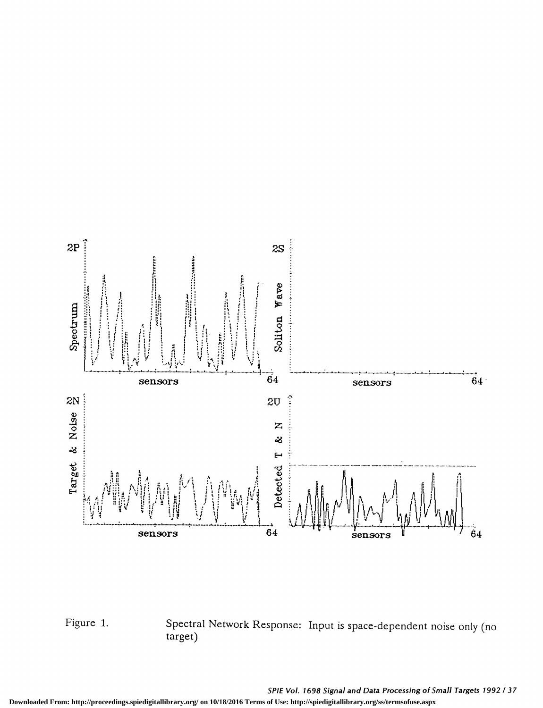

Figure 1. Spectral Network Response: Input is space-dependent noise only (no target)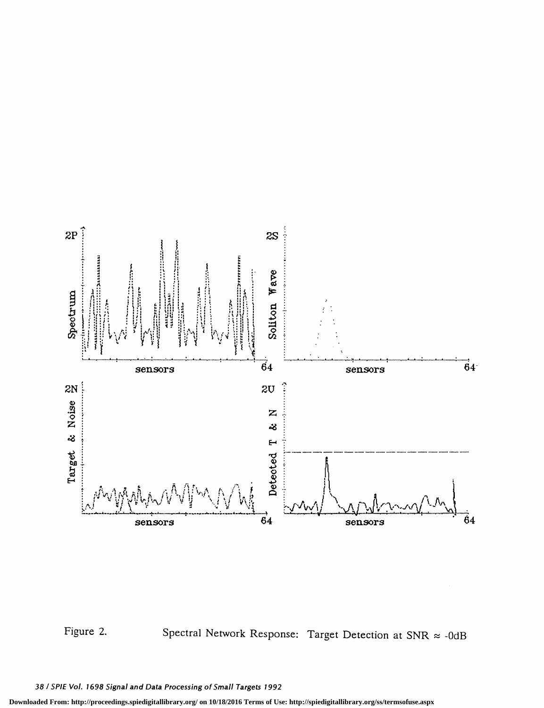



Figure 2. Spectral Network Response: Target Detection at SNR  $\approx$  -0dB

38 / SPIE Vol. 1698 Signal and Data Processing of Small Targets 1992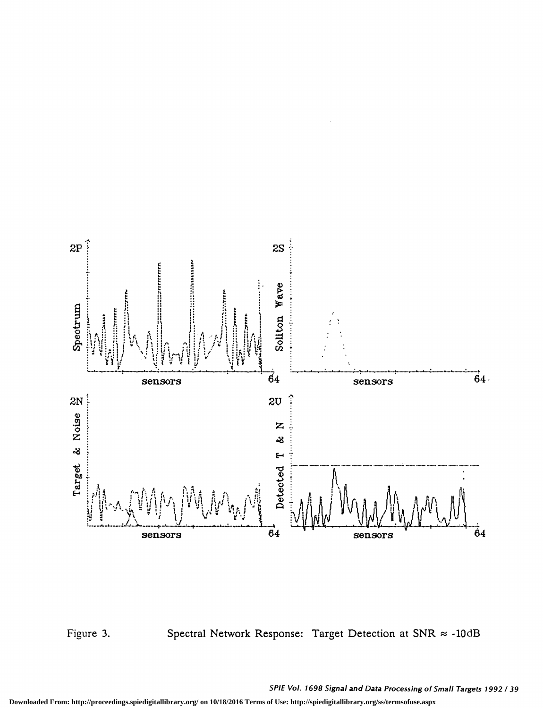



Figure 3. Spectral Network Response: Target Detection at SNR  $\approx$  -10dB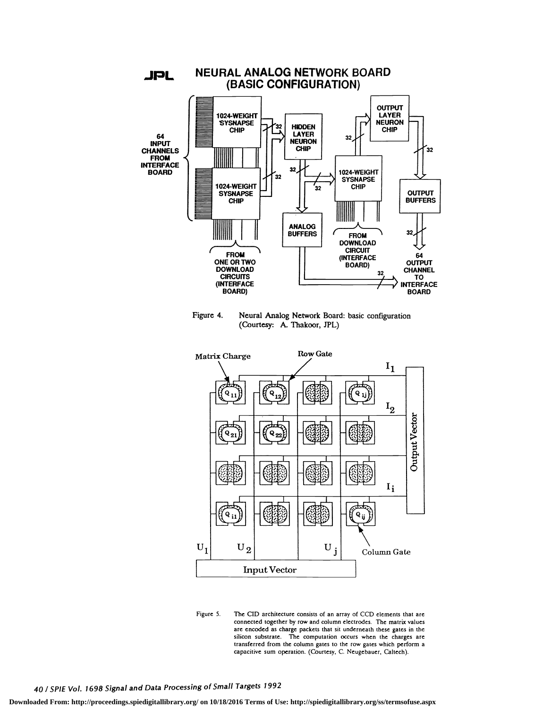

Figure 4. Neural Analog Network Board: basic configuration (Courtesy: A. Thakoor, JPL)





# 40 / SPIE Vol. 1698 Signal and Data Processing of Small Targets 1992